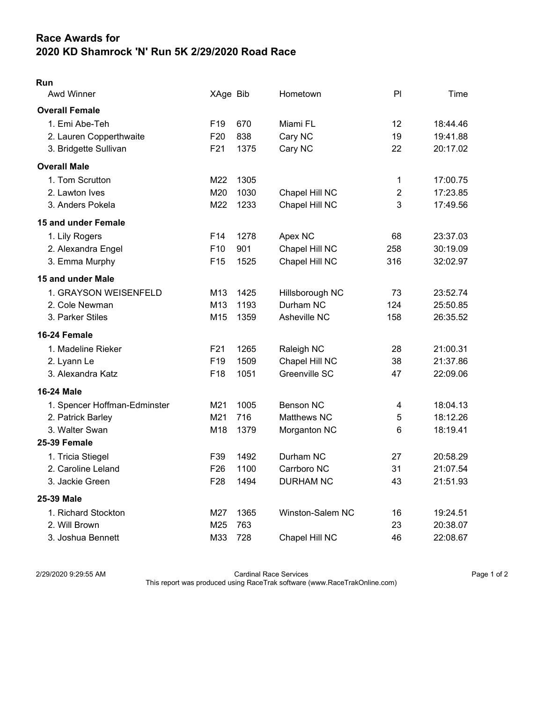## Race Awards for 2020 KD Shamrock 'N' Run 5K 2/29/2020 Road Race

| × |  |
|---|--|

| Awd Winner                   | XAge Bib        |      | Hometown         | P <sub>1</sub>          | Time     |
|------------------------------|-----------------|------|------------------|-------------------------|----------|
| <b>Overall Female</b>        |                 |      |                  |                         |          |
| 1. Emi Abe-Teh               | F <sub>19</sub> | 670  | Miami FL         | 12                      | 18:44.46 |
| 2. Lauren Copperthwaite      | F <sub>20</sub> | 838  | Cary NC          | 19                      | 19:41.88 |
| 3. Bridgette Sullivan        | F21             | 1375 | Cary NC          | 22                      | 20:17.02 |
| <b>Overall Male</b>          |                 |      |                  |                         |          |
| 1. Tom Scrutton              | M22             | 1305 |                  | 1                       | 17:00.75 |
| 2. Lawton Ives               | M20             | 1030 | Chapel Hill NC   | $\overline{2}$          | 17:23.85 |
| 3. Anders Pokela             | M22             | 1233 | Chapel Hill NC   | 3                       | 17:49.56 |
| 15 and under Female          |                 |      |                  |                         |          |
| 1. Lily Rogers               | F14             | 1278 | Apex NC          | 68                      | 23:37.03 |
| 2. Alexandra Engel           | F10             | 901  | Chapel Hill NC   | 258                     | 30:19.09 |
| 3. Emma Murphy               | F <sub>15</sub> | 1525 | Chapel Hill NC   | 316                     | 32:02.97 |
| 15 and under Male            |                 |      |                  |                         |          |
| 1. GRAYSON WEISENFELD        | M13             | 1425 | Hillsborough NC  | 73                      | 23:52.74 |
| 2. Cole Newman               | M13             | 1193 | Durham NC        | 124                     | 25:50.85 |
| 3. Parker Stiles             | M15             | 1359 | Asheville NC     | 158                     | 26:35.52 |
| 16-24 Female                 |                 |      |                  |                         |          |
| 1. Madeline Rieker           | F21             | 1265 | Raleigh NC       | 28                      | 21:00.31 |
| 2. Lyann Le                  | F <sub>19</sub> | 1509 | Chapel Hill NC   | 38                      | 21:37.86 |
| 3. Alexandra Katz            | F18             | 1051 | Greenville SC    | 47                      | 22:09.06 |
| <b>16-24 Male</b>            |                 |      |                  |                         |          |
| 1. Spencer Hoffman-Edminster | M21             | 1005 | <b>Benson NC</b> | $\overline{\mathbf{4}}$ | 18:04.13 |
| 2. Patrick Barley            | M21             | 716  | Matthews NC      | 5                       | 18:12.26 |
| 3. Walter Swan               | M18             | 1379 | Morganton NC     | 6                       | 18:19.41 |
| <b>25-39 Female</b>          |                 |      |                  |                         |          |
| 1. Tricia Stiegel            | F39             | 1492 | Durham NC        | 27                      | 20:58.29 |
| 2. Caroline Leland           | F <sub>26</sub> | 1100 | Carrboro NC      | 31                      | 21:07.54 |
| 3. Jackie Green              | F <sub>28</sub> | 1494 | <b>DURHAM NC</b> | 43                      | 21:51.93 |
| 25-39 Male                   |                 |      |                  |                         |          |
| 1. Richard Stockton          | M27             | 1365 | Winston-Salem NC | 16                      | 19:24.51 |
| 2. Will Brown                | M25             | 763  |                  | 23                      | 20:38.07 |
| 3. Joshua Bennett            | M33             | 728  | Chapel Hill NC   | 46                      | 22:08.67 |

2/29/2020 9:29:55 AM Cardinal Race Services Page 1 of 2 This report was produced using RaceTrak software (www.RaceTrakOnline.com)